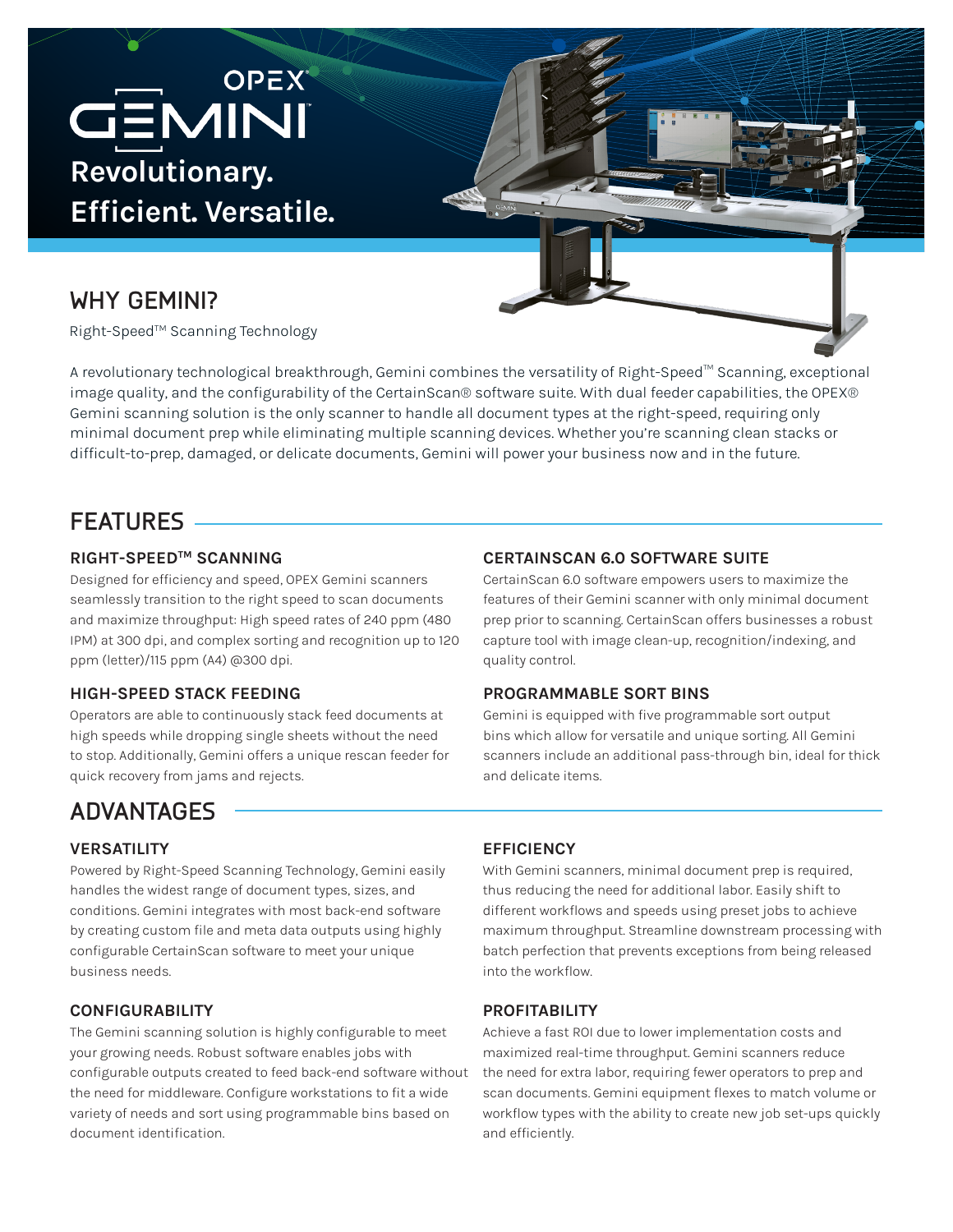# **GEMINI OPEX Revolutionary. Efficient. Versatile.**

### **WHY GEMINI?**

Right-Speed™ Scanning Technology

A revolutionary technological breakthrough, Gemini combines the versatility of Right-Speed™ Scanning, exceptional image quality, and the configurability of the CertainScan® software suite. With dual feeder capabilities, the OPEX® Gemini scanning solution is the only scanner to handle all document types at the right-speed, requiring only minimal document prep while eliminating multiple scanning devices. Whether you're scanning clean stacks or difficult-to-prep, damaged, or delicate documents, Gemini will power your business now and in the future.

### **FEATURES**

#### **RIGHT-SPEEDTM SCANNING**

Designed for efficiency and speed, OPEX Gemini scanners seamlessly transition to the right speed to scan documents and maximize throughput: High speed rates of 240 ppm (480 IPM) at 300 dpi, and complex sorting and recognition up to 120 ppm (letter)/115 ppm (A4) @300 dpi.

#### **HIGH-SPEED STACK FEEDING**

Operators are able to continuously stack feed documents at high speeds while dropping single sheets without the need to stop. Additionally, Gemini offers a unique rescan feeder for quick recovery from jams and rejects.

#### **CERTAINSCAN 6.0 SOFTWARE SUITE**

CertainScan 6.0 software empowers users to maximize the features of their Gemini scanner with only minimal document prep prior to scanning. CertainScan offers businesses a robust capture tool with image clean-up, recognition/indexing, and quality control.

#### **PROGRAMMABLE SORT BINS**

Gemini is equipped with five programmable sort output bins which allow for versatile and unique sorting. All Gemini scanners include an additional pass-through bin, ideal for thick and delicate items.

## **ADVANTAGES**

#### **VERSATILITY**

Powered by Right-Speed Scanning Technology, Gemini easily handles the widest range of document types, sizes, and conditions. Gemini integrates with most back-end software by creating custom file and meta data outputs using highly configurable CertainScan software to meet your unique business needs.

#### **CONFIGURABILITY**

The Gemini scanning solution is highly configurable to meet your growing needs. Robust software enables jobs with configurable outputs created to feed back-end software without the need for middleware. Configure workstations to fit a wide variety of needs and sort using programmable bins based on document identification.

#### **EFFICIENCY**

With Gemini scanners, minimal document prep is required, thus reducing the need for additional labor. Easily shift to different workflows and speeds using preset jobs to achieve maximum throughput. Streamline downstream processing with batch perfection that prevents exceptions from being released into the workflow.

#### **PROFITABILITY**

Achieve a fast ROI due to lower implementation costs and maximized real-time throughput. Gemini scanners reduce the need for extra labor, requiring fewer operators to prep and scan documents. Gemini equipment flexes to match volume or workflow types with the ability to create new job set-ups quickly and efficiently.